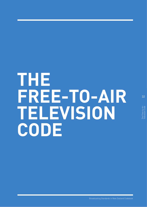# **THE FREE-TO-AIR TELEVISION CODE**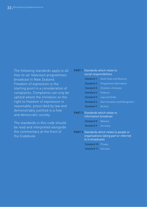The following standards apply to all free-to-air television programmes broadcast in New Zealand. Freedom of expression is the starting point in a consideration of complaints. Complaints can only be upheld where the limitation on the right to freedom of expression is reasonable, prescribed by law and demonstrably justified in a free and democratic society.

The standards in this code should be read and interpreted alongside the commentary at the front of the Codebook.

#### **PART 1** Standards which relate to social responsibilities

|                           | <b>Standard 1</b> Good Taste and Decency |
|---------------------------|------------------------------------------|
| <b>Standard 2</b>         | Programme Information                    |
| <b>Standard 3</b>         | Children's Interests                     |
| <b>Standard 4</b>         | - Violence                               |
| <b>Standard 5</b>         | Law and Order                            |
| Standard 6                | <b>Discrimination and Denigration</b>    |
| <b>Standard 7</b> Alcohol |                                          |

#### **PART 2** Standards which relate to information broadcast

| <b>Standard 8 Balance</b>  |  |
|----------------------------|--|
| <b>Standard 9</b> Accuracy |  |

**PART 3** Standards which relate to people or organisations taking part or referred to in broadcasts

> **Standard 10 Privacy Standard 11** Fairness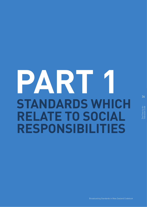# **PART 1 STANDARDS WHICH RELATE TO SOCIAL RESPONSIBILITIES**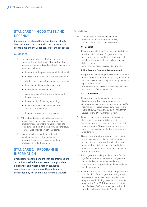## STANDARD 1 – GOOD TASTE AND **DECENCY**

Current norms of good taste and decency should be maintained, consistent with the context of the programme and the wider context of the broadcast.

#### Guidelines

- 1a The context in which content occurs and the wider context of the broadcast are relevant to assessing whether a broadcast has breached this standard, including:
	- the nature of the programme and the channel
	- the programme's classification and scheduling
	- whether the broadcast was live or pre-recorded
	- the use of audience advisories, if any
	- the target and likely audience
	- audience expectations of the channel and the programme
	- the availability of filtering technology
	- the level of the broadcaster's editorial control over the content
	- the public interest in the broadcast.
- 1b Where broadcasters take effective steps to inform their audiences of the nature of their programmes, and enable viewers to regulate their own and their children's viewing behaviour, they are less likely to breach this standard.
- 1c If content is likely to offend or disturb a significant section of the audience, an appropriate audience advisory should be broadcast prior to the content.

## STANDARD 2 – PROGRAMME INFORMATION

Broadcasters should ensure that programmes are correctly classified and screened in appropriate timebands, and where appropriate, issue an audience advisory where the content of a broadcast may not be suitable for likely viewers.

#### Guidelines

2a The following classifications should be broadcast on all content except news, current affairs, sports and live content:

#### **G – General**

Programmes which exclude material likely to be unsuitable for children. Programmes may not necessarily be designed for child viewers but should not contain material likely to alarm or distress them.

*G programmes may be screened at any time.*

#### **PGR – Parental Guidance Recommended**

Programmes containing material more suited for mature audiences but not necessarily unsuitable for child viewers when subject to the guidance of a parent or an adult.

*PGR programmes may be screened between 9am and 4pm, and after 7pm until 6am.*

#### **AO – Adults Only**

Programmes containing adult themes and directed primarily at mature audiences.. *AO programmes may be screened between midday and 3pm on weekdays (except during school and public holidays, as designated by the Ministry of Education) and after 8.30pm until 5am.*

- 2b Broadcasters should exercise caution when determining the level of AO content to be screened during any transition from G or PGR programming to AO programming, and give careful consideration to children's interests (Standard 3).
- 2c News, current affairs, sports and live content is not, because of its distinct nature, subject to classification. However, broadcasters must be mindful of children's interests and other broadcasting standards and include warnings where appropriate.
- 2d If a programme is likely to disturb or offend a significant number of viewers, or programme content is likely to be outside audience expectations, an appropriate audience advisory should be broadcast.
- 2e Promos for programmes should comply with the classification of the programme during which they screen. In the case of unclassified host programmes (including news and current affairs) broadcast in G or PGR time, promos must be classified G or PGR and broadcasters should consider children's interests (Standard 3).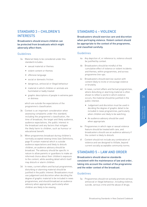Broadcasters should ensure children can be protected from broadcasts which might adversely affect them.

#### Guidelines

- 3a Material likely to be considered under this standard includes:
	- sexual material or themes
	- violent content or themes
	- offensive language
	- social or domestic friction
	- dangerous, antisocial or illegal behaviour
	- material in which children or animals are humiliated or badly treated
	- graphic descriptions of people in extreme pain or distress

which are outside the expectations of the programme's classification.

- 3b Context is an important consideration when assessing complaints under this standard, including the programme's classification, the time of broadcast, the target and likely audience, audience expectations, the public interest in the broadcast and any factors that mitigate the likely harm to children, such as humour or educational benefit.
- 3c When programmes broadcast during children's normally accepted viewing times (see Definitions, page 9) contain material which is outside audience expectations and likely to disturb children, an audience advisory should be broadcast. The advisory should be specific in nature to allow parents or guardians to make an informed choice about their children's exposure to the content, while avoiding detail which itself may disturb or alarm children.
- 3d In news, current affairs and factual programmes, disturbing or alarming material should be justified in the public interest. Broadcasters must use judgement and discretion when deciding the degree of graphic material to be included in news programmes, and should broadcast an audience advisory when appropriate, particularly when children are likely to be viewing.

### STANDARD 4 – VIOLENCE

Broadcasters should exercise care and discretion when portraying violence. Violent content should be appropriate to the context of the programme, and classified carefully.

#### Guidelines

- 4a Any depiction of, or reference to, violence should be justified by context.
- 4b Broadcasters should be mindful of the cumulative effect of violence or violent incidents and themes, within programmes, and across programme line-ups.
- 4c Broadcasters should exercise caution with content likely to incite or encourage violence or brutality.
- 4d In news, current affairs and factual programmes, where disturbing or alarming material is often shown to reflect a world in which violence occurs, the material should be justified in the public interest.
	- Judgement and discretion must be used in deciding the degree of graphic detail to be included in news programmes, particularly when children are likely to be watching.
	- An audience advisory should be used when appropriate.
- 4e Programmes in which rape or sexual violence feature should be treated with care, and broadcasters should use an audience advisory if the content is likely to disturb.
- 4f Content should not include any combination of violence and sex designed to titillate, beyond current socially acceptable community norms.

## STANDARD 5 – LAW AND ORDER

Broadcasters should observe standards consistent with the maintenance of law and order, taking into account the context of the programme and the wider context of the broadcast.

#### Guidelines

5a Programmes should not actively promote serious antisocial or illegal behaviour, including violence, suicide, serious crime and the abuse of drugs.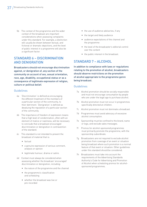5b The context of the programme and the wider context of the broadcast are important considerations when assessing complaints under this standard. For example, a distinction will usually be drawn between factual, and fictional or dramatic depictions, and the level of public interest in a programme will also be a significant factor.

## STANDARD 6 – DISCRIMINATION AND DENIGRATION

Broadcasters should not encourage discrimination against, or denigration of, any section of the community on account of sex, sexual orientation, race, age, disability, occupational status or as a consequence of legitimate expression of religion, culture or political belief.

#### Guidelines

- 6a 'Discrimination' is defined as encouraging the different treatment of the members of a particular section of the community, to their detriment. 'Denigration' is defined as devaluing the reputation of a particular section of the community.
- 6b The importance of freedom of expression means that a high level of condemnation, often with an element of malice or nastiness, will be necessary to conclude that a broadcast encouraged discrimination or denigration in contravention of the standard.
- 6c This standard is not intended to prevent the broadcast of material that is:
	- factual
	- a genuine expression of serious comment, analysis or opinion
	- legitimate humour, drama or satire.
- 6d Context must always be considered when assessing whether the broadcast 'encouraged' discrimination or denigration, including:
	- the nature of the programme and the channel
	- the programme's classification and scheduling
	- whether the broadcast was live or pre-recorded
- the use of audience advisories, if any
- the target and likely audience
- audience expectations of the channel and the programme
- the level of the broadcaster's editorial control over the content
- the public interest in the broadcast.

## STANDARD 7 – ALCOHOL

In addition to compliance with laws or regulations relating to the promotion of alcohol, broadcasters should observe restrictions on the promotion of alcohol appropriate to the programme genre being broadcast.

#### Guidelines

- 7a Alcohol promotion should be socially responsible and must not encourage consumption by people who are under the legal age to purchase alcohol.
- 7b Alcohol promotion must not occur in programmes specifically directed at children.
- 7c Alcohol promotion must not dominate a broadcast.
- 7d Programmes must avoid advocacy of excessive alcohol consumption.
- 7e Sponsorship must be confined to the brand, name or logo, and exclude sales messages.
- 7f Promos for alcohol-sponsored programmes must primarily promote the programme, with the sponsorship subordinate.
- 7g Broadcasters are not required to exclude alcohol promotion from coverage of an event or situation being broadcast where such promotion is a normal feature of that event or situation. Other guidelines under this standard should be considered.
- 7h Broadcasters must take into account the requirements of the Advertising Standards Authority's Code for Advertising and Promotion of Alcohol when scheduling promos for alcoholsponsored programmes.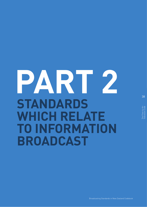## **PART 2 STANDARDS WHICH RELATE TO INFORMATION BROADCAST**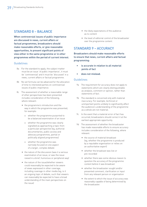## STANDARD 8 – BALANCE

When controversial issues of public importance are discussed in news, current affairs or factual programmes, broadcasters should make reasonable efforts, or give reasonable opportunities, to present significant points of view either in the same programme or in other programmes within the period of current interest.

#### Guidelines

- 8a For the standard to apply, the subject matter must be an issue 'of public importance', it must be 'controversial' and it must be 'discussed' in a news, current affairs or factual programme.
- 8b No set formula can be advanced for the allocation of time to interested parties on controversial issues of public importance.
- 8c The assessment of whether a reasonable range of other perspectives has been presented includes consideration of the following, where relevant:
	- the programme's introduction and the way in which the programme was presented, for example:
		- o whether the programme purported to be a balanced examination of an issue
		- o whether the programme was clearly signalled as approaching a topic from a particular perspective (eg, authorial documentaries, public access and advocacy programmes, partial or politically aligned programmes)
		- o whether the programme was narrowly focused on one aspect of a larger, complex debate
	- the nature of the discussion (was it a serious examination of an issue, or was the issue raised in a brief, humorous or peripheral way)
	- the nature of the issue/whether viewers could reasonably be expected to be aware of views expressed in other coverage, including coverage in other media (eg, is it an ongoing topic of debate, such that viewers can reasonably be expected to have a broad understanding of the main perspectives on the issue)
- the likely expectations of the audience as to content
- the level of editorial control of the broadcaster over the programme content.

## STANDARD 9 – ACCURACY

Broadcasters should make reasonable efforts to ensure that news, current affairs and factual programming:

- is accurate in relation to all material points of fact
- does not mislead.

#### Guidelines

- 9a The requirement for accuracy does not apply to statements which are clearly distinguishable as analysis, comment or opinion, rather than statements of fact.
- 9b The standard is concerned only with material inaccuracy. For example, technical or unimportant points unlikely to significantly affect the audience's understanding of the programme as a whole are not material.
- 9c In the event that a material error of fact has occurred, broadcasters should correct it at the earliest appropriate opportunity.
- 9d The assessment of whether the broadcaster has made reasonable efforts to ensure accuracy includes consideration of the following, where relevant:
	- the source of material broadcast (eg, whether the programme is produced by a reputable organisation or relies on an authoritative expert)
	- whether the broadcast was live or pre-recorded
	- whether there was some obvious reason to question the accuracy of the programme content before it was broadcast
	- whether the broadcaster sought and/or presented comment, clarification or input from any relevant person or organisation
	- the extent to which the issue of accuracy was reasonably capable of being determined by the broadcaster.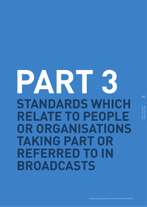## **PART 3 STANDARDS WHICH RELATE TO PEOPLE OR ORGANISATIONS TAKING PART OR REFERRED TO IN BROADCASTS**